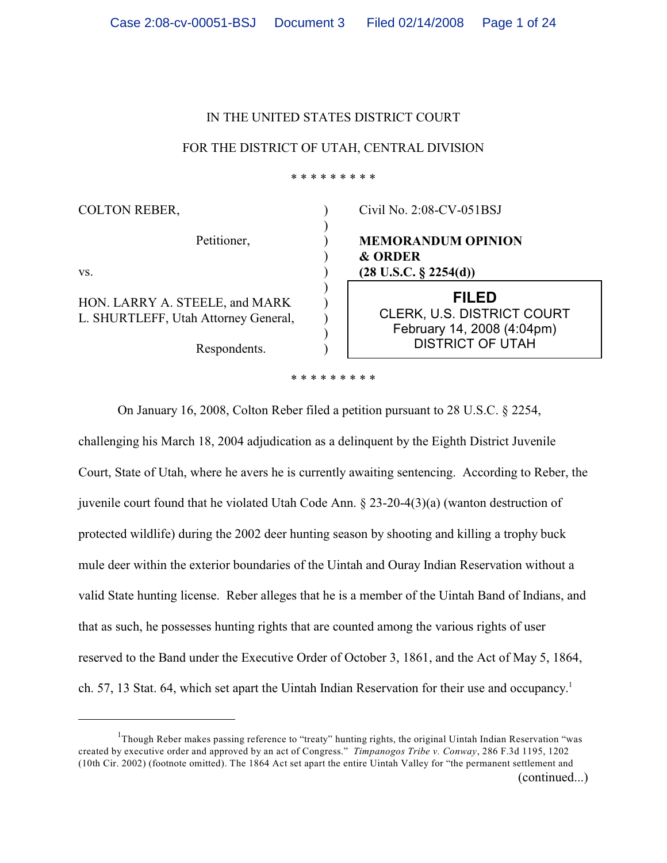### IN THE UNITED STATES DISTRICT COURT

### FOR THE DISTRICT OF UTAH, CENTRAL DIVISION

\* \* \* \* \* \* \* \* \*

| <b>COLTON REBER,</b>                                                                   |  | Civil No. 2:08-CV-051BSJ                                                                                   |
|----------------------------------------------------------------------------------------|--|------------------------------------------------------------------------------------------------------------|
| Petitioner,<br>VS.                                                                     |  | <b>MEMORANDUM OPINION</b><br><b>&amp; ORDER</b><br>$(28 \text{ U.S.C. } \S 2254(d))$                       |
| HON. LARRY A. STEELE, and MARK<br>L. SHURTLEFF, Utah Attorney General,<br>Respondents. |  | <b>FILED</b><br><b>CLERK, U.S. DISTRICT COURT</b><br>February 14, 2008 (4:04pm)<br><b>DISTRICT OF UTAH</b> |
| * * * * * * * * *                                                                      |  |                                                                                                            |

On January 16, 2008, Colton Reber filed a petition pursuant to 28 U.S.C. § 2254, challenging his March 18, 2004 adjudication as a delinquent by the Eighth District Juvenile Court, State of Utah, where he avers he is currently awaiting sentencing. According to Reber, the juvenile court found that he violated Utah Code Ann. § 23-20-4(3)(a) (wanton destruction of protected wildlife) during the 2002 deer hunting season by shooting and killing a trophy buck mule deer within the exterior boundaries of the Uintah and Ouray Indian Reservation without a valid State hunting license. Reber alleges that he is a member of the Uintah Band of Indians, and that as such, he possesses hunting rights that are counted among the various rights of user reserved to the Band under the Executive Order of October 3, 1861, and the Act of May 5, 1864, ch. 57, 13 Stat. 64, which set apart the Uintah Indian Reservation for their use and occupancy.<sup>1</sup>

<sup>&</sup>lt;sup>1</sup>Though Reber makes passing reference to "treaty" hunting rights, the original Uintah Indian Reservation "was created by executive order and approved by an act of Congress." *Timpanogos Tribe v. Conway*, 286 F.3d 1195, 1202 (10th Cir. 2002) (footnote omitted). The 1864 Act set apart the entire Uintah Valley for "the permanent settlement and (continued...)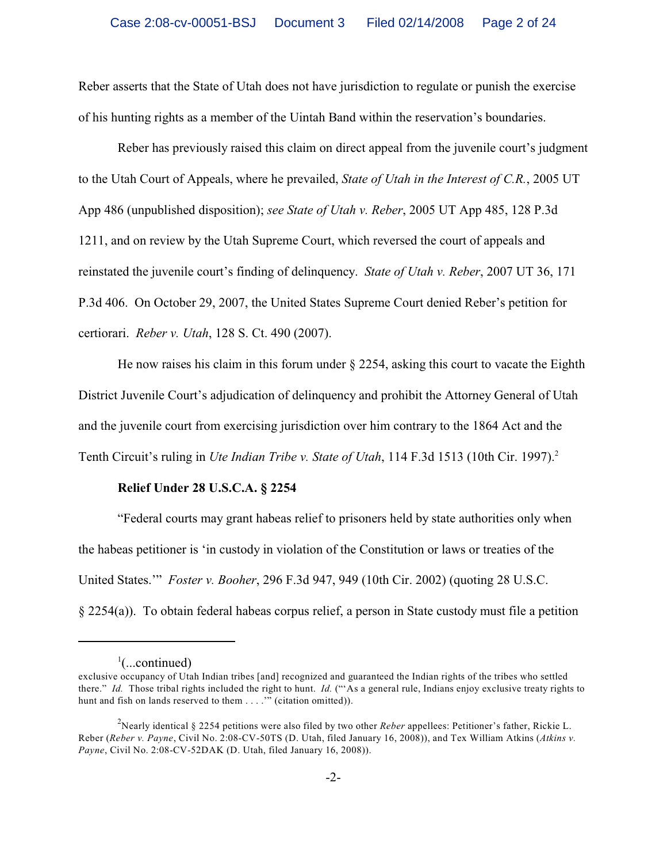Reber asserts that the State of Utah does not have jurisdiction to regulate or punish the exercise of his hunting rights as a member of the Uintah Band within the reservation's boundaries.

Reber has previously raised this claim on direct appeal from the juvenile court's judgment to the Utah Court of Appeals, where he prevailed, *State of Utah in the Interest of C.R.*, 2005 UT App 486 (unpublished disposition); *see State of Utah v. Reber*, 2005 UT App 485, 128 P.3d 1211, and on review by the Utah Supreme Court, which reversed the court of appeals and reinstated the juvenile court's finding of delinquency. *State of Utah v. Reber*, 2007 UT 36, 171 P.3d 406. On October 29, 2007, the United States Supreme Court denied Reber's petition for certiorari. *Reber v. Utah*, 128 S. Ct. 490 (2007).

He now raises his claim in this forum under  $\S$  2254, asking this court to vacate the Eighth District Juvenile Court's adjudication of delinquency and prohibit the Attorney General of Utah and the juvenile court from exercising jurisdiction over him contrary to the 1864 Act and the Tenth Circuit's ruling in *Ute Indian Tribe v. State of Utah*, 114 F.3d 1513 (10th Cir. 1997).<sup>2</sup>

# **Relief Under 28 U.S.C.A. § 2254**

"Federal courts may grant habeas relief to prisoners held by state authorities only when the habeas petitioner is 'in custody in violation of the Constitution or laws or treaties of the United States.'" *Foster v. Booher*, 296 F.3d 947, 949 (10th Cir. 2002) (quoting 28 U.S.C. § 2254(a)). To obtain federal habeas corpus relief, a person in State custody must file a petition

 $\cdot$ ...continued)

exclusive occupancy of Utah Indian tribes [and] recognized and guaranteed the Indian rights of the tribes who settled there." *Id.* Those tribal rights included the right to hunt. *Id.* ("'As a general rule, Indians enjoy exclusive treaty rights to hunt and fish on lands reserved to them . . . . " (citation omitted)).

Nearly identical § 2254 petitions were also filed by two other *Reber* appellees: Petitioner's father, Rickie L. <sup>2</sup> Reber (*Reber v. Payne*, Civil No. 2:08-CV-50TS (D. Utah, filed January 16, 2008)), and Tex William Atkins (*Atkins v. Payne*, Civil No. 2:08-CV-52DAK (D. Utah, filed January 16, 2008)).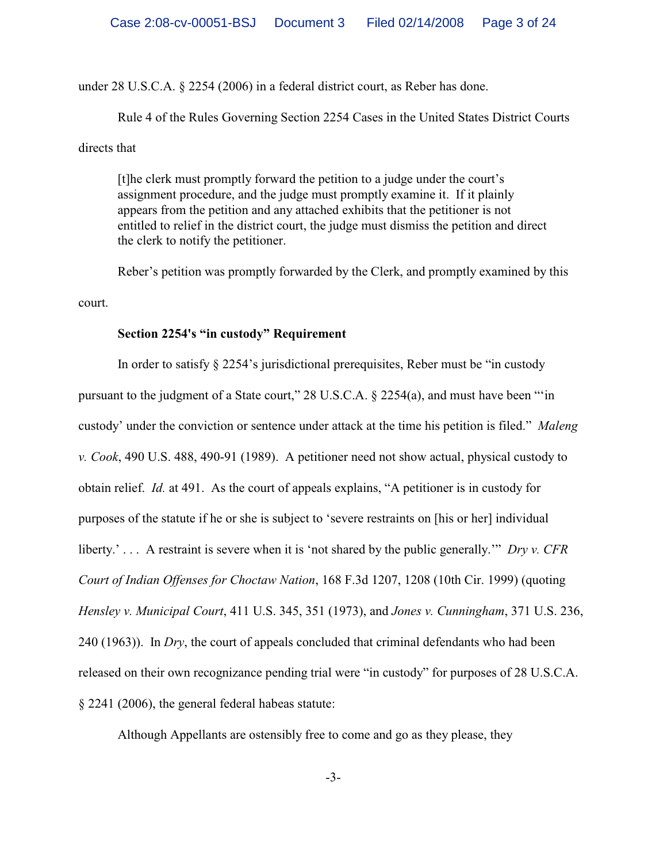under 28 U.S.C.A. § 2254 (2006) in a federal district court, as Reber has done.

Rule 4 of the Rules Governing Section 2254 Cases in the United States District Courts directs that

[t]he clerk must promptly forward the petition to a judge under the court's assignment procedure, and the judge must promptly examine it. If it plainly appears from the petition and any attached exhibits that the petitioner is not entitled to relief in the district court, the judge must dismiss the petition and direct the clerk to notify the petitioner.

Reber's petition was promptly forwarded by the Clerk, and promptly examined by this court.

## **Section 2254's "in custody" Requirement**

In order to satisfy § 2254's jurisdictional prerequisites, Reber must be "in custody pursuant to the judgment of a State court," 28 U.S.C.A. § 2254(a), and must have been "'in custody' under the conviction or sentence under attack at the time his petition is filed." *Maleng v. Cook*, 490 U.S. 488, 490-91 (1989). A petitioner need not show actual, physical custody to obtain relief. *Id.* at 491. As the court of appeals explains, "A petitioner is in custody for purposes of the statute if he or she is subject to 'severe restraints on [his or her] individual liberty.' . . . A restraint is severe when it is 'not shared by the public generally.'" *Dry v. CFR Court of Indian Offenses for Choctaw Nation*, 168 F.3d 1207, 1208 (10th Cir. 1999) (quoting *Hensley v. Municipal Court*, 411 U.S. 345, 351 (1973), and *Jones v. Cunningham*, 371 U.S. 236, 240 (1963)). In *Dry*, the court of appeals concluded that criminal defendants who had been released on their own recognizance pending trial were "in custody" for purposes of 28 U.S.C.A. § 2241 (2006), the general federal habeas statute:

Although Appellants are ostensibly free to come and go as they please, they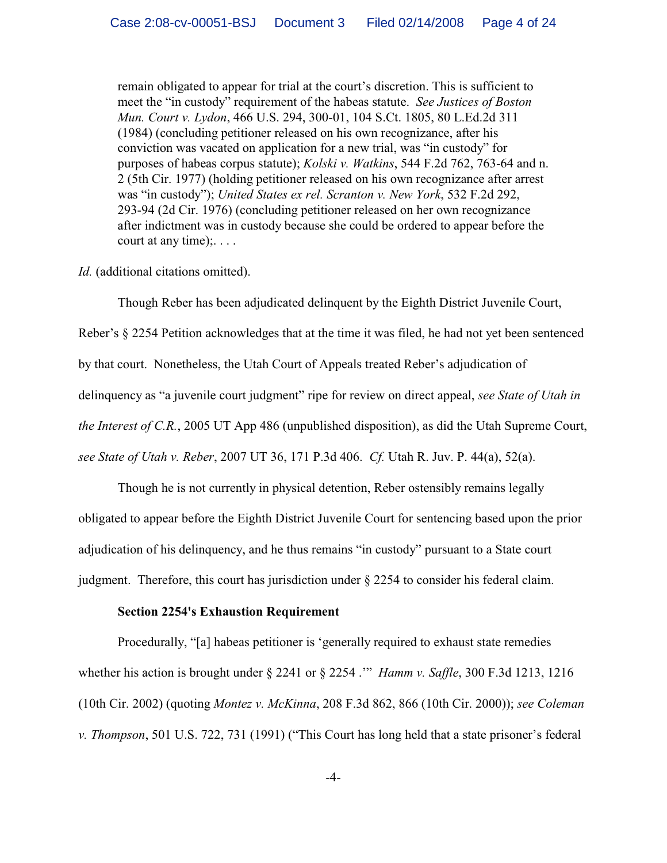remain obligated to appear for trial at the court's discretion. This is sufficient to meet the "in custody" requirement of the habeas statute. *See Justices of Boston Mun. Court v. Lydon*, 466 U.S. 294, 300-01, 104 S.Ct. 1805, 80 L.Ed.2d 311 (1984) (concluding petitioner released on his own recognizance, after his conviction was vacated on application for a new trial, was "in custody" for purposes of habeas corpus statute); *Kolski v. Watkins*, 544 F.2d 762, 763-64 and n. 2 (5th Cir. 1977) (holding petitioner released on his own recognizance after arrest was "in custody"); *United States ex rel. Scranton v. New York*, 532 F.2d 292, 293-94 (2d Cir. 1976) (concluding petitioner released on her own recognizance after indictment was in custody because she could be ordered to appear before the court at any time);. . . .

### *Id.* (additional citations omitted).

Though Reber has been adjudicated delinquent by the Eighth District Juvenile Court,

Reber's § 2254 Petition acknowledges that at the time it was filed, he had not yet been sentenced by that court. Nonetheless, the Utah Court of Appeals treated Reber's adjudication of delinquency as "a juvenile court judgment" ripe for review on direct appeal, *see State of Utah in the Interest of C.R.*, 2005 UT App 486 (unpublished disposition), as did the Utah Supreme Court, *see State of Utah v. Reber*, 2007 UT 36, 171 P.3d 406. *Cf.* Utah R. Juv. P. 44(a), 52(a).

Though he is not currently in physical detention, Reber ostensibly remains legally obligated to appear before the Eighth District Juvenile Court for sentencing based upon the prior adjudication of his delinquency, and he thus remains "in custody" pursuant to a State court judgment. Therefore, this court has jurisdiction under § 2254 to consider his federal claim.

## **Section 2254's Exhaustion Requirement**

Procedurally, "[a] habeas petitioner is 'generally required to exhaust state remedies whether his action is brought under § 2241 or § 2254 .'" *Hamm v. Saffle*, 300 F.3d 1213, 1216 (10th Cir. 2002) (quoting *Montez v. McKinna*, 208 F.3d 862, 866 (10th Cir. 2000)); *see Coleman v. Thompson*, 501 U.S. 722, 731 (1991) ("This Court has long held that a state prisoner's federal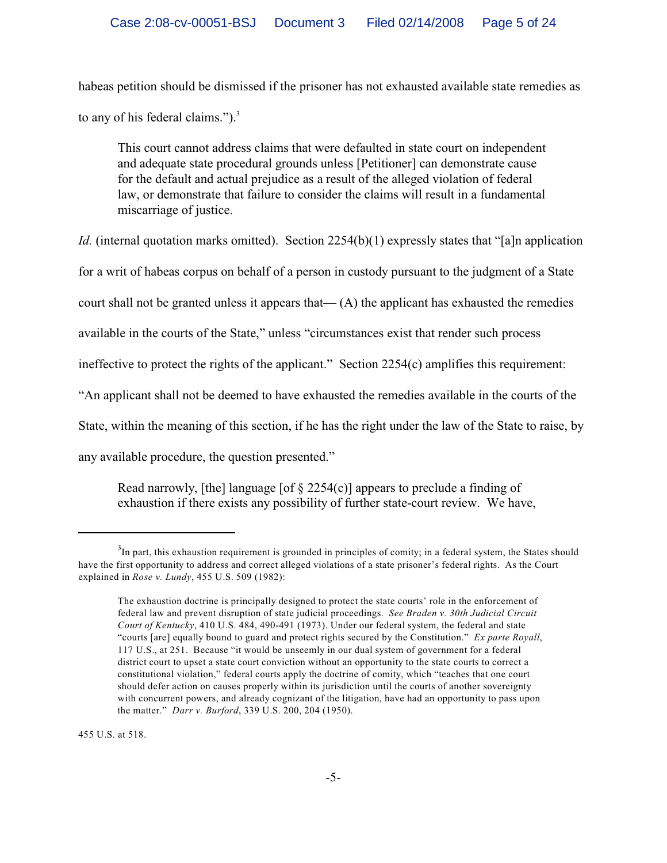habeas petition should be dismissed if the prisoner has not exhausted available state remedies as to any of his federal claims.").<sup>3</sup>

This court cannot address claims that were defaulted in state court on independent and adequate state procedural grounds unless [Petitioner] can demonstrate cause for the default and actual prejudice as a result of the alleged violation of federal law, or demonstrate that failure to consider the claims will result in a fundamental miscarriage of justice.

*Id.* (internal quotation marks omitted). Section 2254(b)(1) expressly states that "[a]n application

for a writ of habeas corpus on behalf of a person in custody pursuant to the judgment of a State

court shall not be granted unless it appears that— $(A)$  the applicant has exhausted the remedies

available in the courts of the State," unless "circumstances exist that render such process

ineffective to protect the rights of the applicant." Section 2254(c) amplifies this requirement:

"An applicant shall not be deemed to have exhausted the remedies available in the courts of the

State, within the meaning of this section, if he has the right under the law of the State to raise, by

any available procedure, the question presented."

Read narrowly, [the] language [of  $\S$  2254(c)] appears to preclude a finding of exhaustion if there exists any possibility of further state-court review. We have,

455 U.S. at 518.

 $3$ In part, this exhaustion requirement is grounded in principles of comity; in a federal system, the States should have the first opportunity to address and correct alleged violations of a state prisoner's federal rights. As the Court explained in *Rose v. Lundy*, 455 U.S. 509 (1982):

The exhaustion doctrine is principally designed to protect the state courts' role in the enforcement of federal law and prevent disruption of state judicial proceedings. *See Braden v. 30th Judicial Circuit Court of Kentucky*, 410 U.S. 484, 490-491 (1973). Under our federal system, the federal and state "courts [are] equally bound to guard and protect rights secured by the Constitution." *Ex parte Royall*, 117 U.S., at 251. Because "it would be unseemly in our dual system of government for a federal district court to upset a state court conviction without an opportunity to the state courts to correct a constitutional violation," federal courts apply the doctrine of comity, which "teaches that one court should defer action on causes properly within its jurisdiction until the courts of another sovereignty with concurrent powers, and already cognizant of the litigation, have had an opportunity to pass upon the matter." *Darr v. Burford*, 339 U.S. 200, 204 (1950).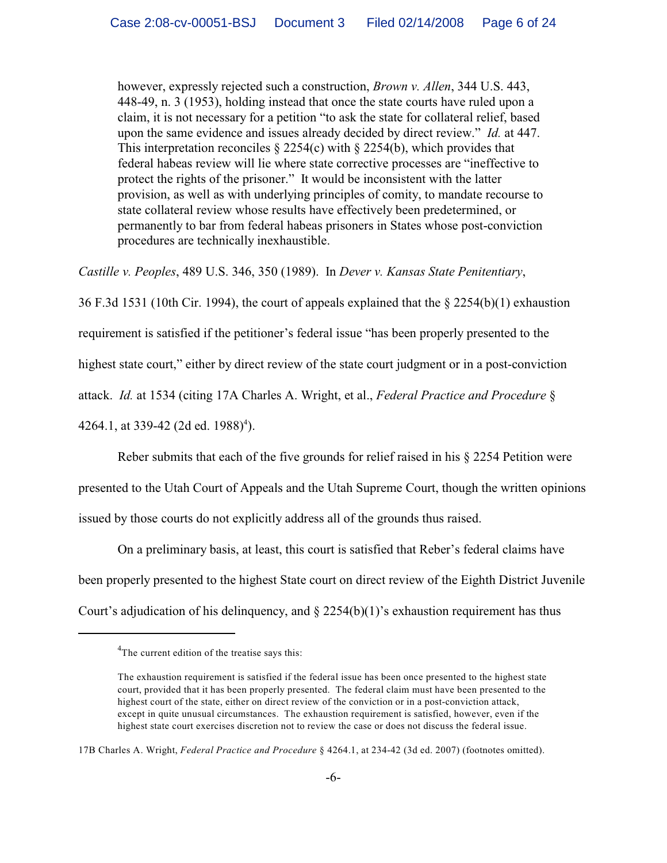however, expressly rejected such a construction, *Brown v. Allen*, 344 U.S. 443, 448-49, n. 3 (1953), holding instead that once the state courts have ruled upon a claim, it is not necessary for a petition "to ask the state for collateral relief, based upon the same evidence and issues already decided by direct review." *Id.* at 447. This interpretation reconciles  $\S 2254(c)$  with  $\S 2254(b)$ , which provides that federal habeas review will lie where state corrective processes are "ineffective to protect the rights of the prisoner." It would be inconsistent with the latter provision, as well as with underlying principles of comity, to mandate recourse to state collateral review whose results have effectively been predetermined, or permanently to bar from federal habeas prisoners in States whose post-conviction procedures are technically inexhaustible.

*Castille v. Peoples*, 489 U.S. 346, 350 (1989). In *Dever v. Kansas State Penitentiary*,

36 F.3d 1531 (10th Cir. 1994), the court of appeals explained that the § 2254(b)(1) exhaustion

requirement is satisfied if the petitioner's federal issue "has been properly presented to the

highest state court," either by direct review of the state court judgment or in a post-conviction

attack. *Id.* at 1534 (citing 17A Charles A. Wright, et al., *Federal Practice and Procedure* §

4264.1, at 339-42 (2d ed. 1988)<sup>4</sup>).

Reber submits that each of the five grounds for relief raised in his § 2254 Petition were

presented to the Utah Court of Appeals and the Utah Supreme Court, though the written opinions issued by those courts do not explicitly address all of the grounds thus raised.

On a preliminary basis, at least, this court is satisfied that Reber's federal claims have been properly presented to the highest State court on direct review of the Eighth District Juvenile Court's adjudication of his delinquency, and  $\S$  2254(b)(1)'s exhaustion requirement has thus

<sup>&</sup>lt;sup>4</sup>The current edition of the treatise says this:

The exhaustion requirement is satisfied if the federal issue has been once presented to the highest state court, provided that it has been properly presented. The federal claim must have been presented to the highest court of the state, either on direct review of the conviction or in a post-conviction attack, except in quite unusual circumstances. The exhaustion requirement is satisfied, however, even if the highest state court exercises discretion not to review the case or does not discuss the federal issue.

<sup>17</sup>B Charles A. Wright, *Federal Practice and Procedure* § 4264.1, at 234-42 (3d ed. 2007) (footnotes omitted).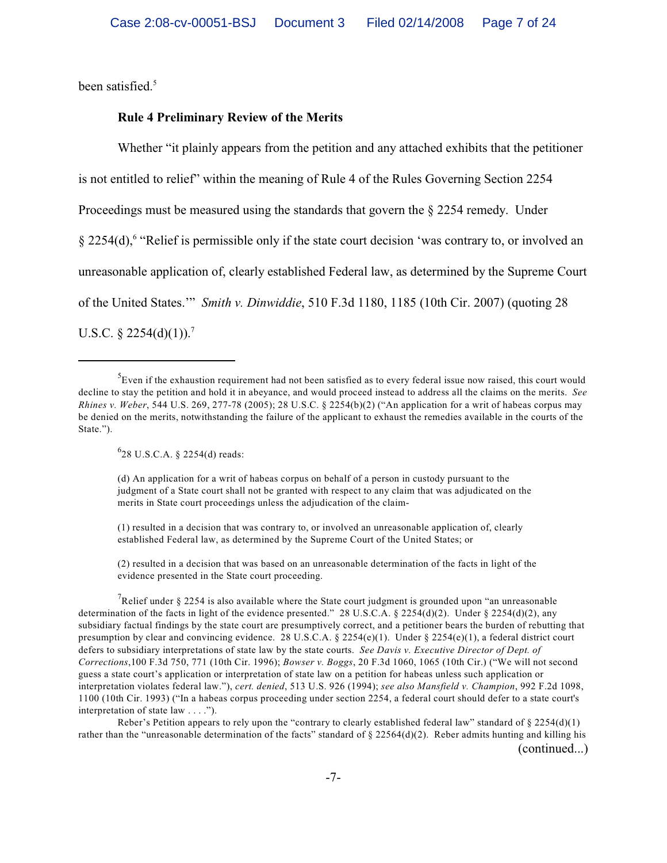been satisfied.<sup>5</sup>

### **Rule 4 Preliminary Review of the Merits**

Whether "it plainly appears from the petition and any attached exhibits that the petitioner is not entitled to relief" within the meaning of Rule 4 of the Rules Governing Section 2254 Proceedings must be measured using the standards that govern the § 2254 remedy. Under § 2254(d), "Relief is permissible only if the state court decision 'was contrary to, or involved an <sup>6</sup> unreasonable application of, clearly established Federal law, as determined by the Supreme Court of the United States.'" *Smith v. Dinwiddie*, 510 F.3d 1180, 1185 (10th Cir. 2007) (quoting 28 U.S.C.  $\S 2254(d)(1)$ .<sup>7</sup>

 $628$  U.S.C.A. § 2254(d) reads:

(d) An application for a writ of habeas corpus on behalf of a person in custody pursuant to the judgment of a State court shall not be granted with respect to any claim that was adjudicated on the merits in State court proceedings unless the adjudication of the claim-

(1) resulted in a decision that was contrary to, or involved an unreasonable application of, clearly established Federal law, as determined by the Supreme Court of the United States; or

(2) resulted in a decision that was based on an unreasonable determination of the facts in light of the evidence presented in the State court proceeding.

<sup>7</sup>Relief under § 2254 is also available where the State court judgment is grounded upon "an unreasonable" determination of the facts in light of the evidence presented." 28 U.S.C.A. § 2254(d)(2). Under § 2254(d)(2), any subsidiary factual findings by the state court are presumptively correct, and a petitioner bears the burden of rebutting that presumption by clear and convincing evidence. 28 U.S.C.A. § 2254(e)(1). Under § 2254(e)(1), a federal district court defers to subsidiary interpretations of state law by the state courts. *See Davis v. Executive Director of Dept. of Corrections*,100 F.3d 750, 771 (10th Cir. 1996); *Bowser v. Boggs*, 20 F.3d 1060, 1065 (10th Cir.) ("We will not second guess a state court's application or interpretation of state law on a petition for habeas unless such application or interpretation violates federal law."), *cert. denied*, 513 U.S. 926 (1994); *see also Mansfield v. Champion*, 992 F.2d 1098, 1100 (10th Cir. 1993) ("In a habeas corpus proceeding under section 2254, a federal court should defer to a state court's interpretation of state law . . . .").

Reber's Petition appears to rely upon the "contrary to clearly established federal law" standard of  $\S 2254(d)(1)$ rather than the "unreasonable determination of the facts" standard of  $\S 22564(d)(2)$ . Reber admits hunting and killing his (continued...)

<sup>&</sup>lt;sup>5</sup> Even if the exhaustion requirement had not been satisfied as to every federal issue now raised, this court would decline to stay the petition and hold it in abeyance, and would proceed instead to address all the claims on the merits. *See Rhines v. Weber*, 544 U.S. 269, 277-78 (2005); 28 U.S.C. § 2254(b)(2) ("An application for a writ of habeas corpus may be denied on the merits, notwithstanding the failure of the applicant to exhaust the remedies available in the courts of the State.").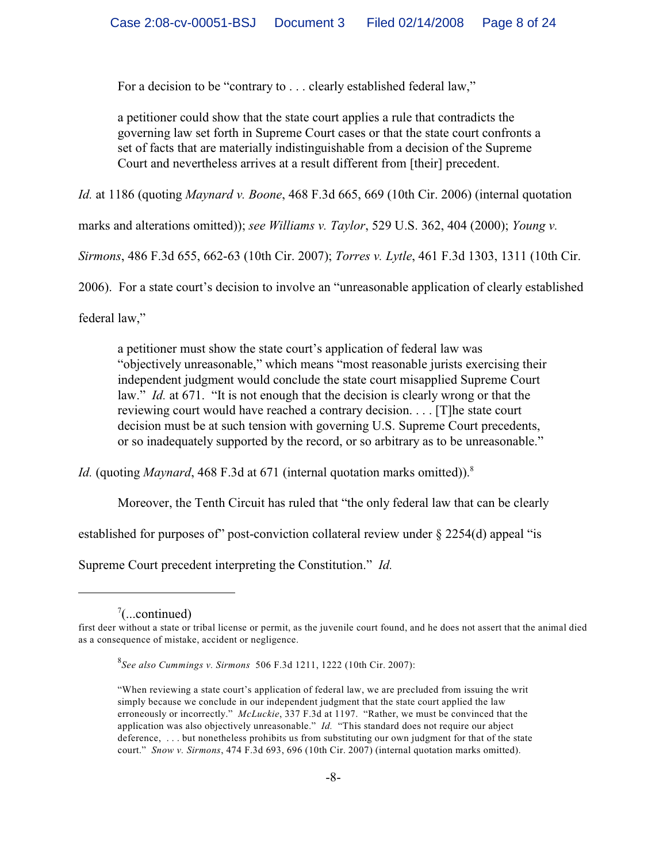For a decision to be "contrary to . . . clearly established federal law,"

a petitioner could show that the state court applies a rule that contradicts the governing law set forth in Supreme Court cases or that the state court confronts a set of facts that are materially indistinguishable from a decision of the Supreme Court and nevertheless arrives at a result different from [their] precedent.

*Id.* at 1186 (quoting *Maynard v. Boone*, 468 F.3d 665, 669 (10th Cir. 2006) (internal quotation

marks and alterations omitted)); *see Williams v. Taylor*, 529 U.S. 362, 404 (2000); *Young v.*

*Sirmons*, 486 F.3d 655, 662-63 (10th Cir. 2007); *Torres v. Lytle*, 461 F.3d 1303, 1311 (10th Cir.

2006). For a state court's decision to involve an "unreasonable application of clearly established

federal law,"

a petitioner must show the state court's application of federal law was "objectively unreasonable," which means "most reasonable jurists exercising their independent judgment would conclude the state court misapplied Supreme Court law." *Id.* at 671. "It is not enough that the decision is clearly wrong or that the reviewing court would have reached a contrary decision. . . . [T]he state court decision must be at such tension with governing U.S. Supreme Court precedents, or so inadequately supported by the record, or so arbitrary as to be unreasonable."

*Id.* (quoting *Maynard*, 468 F.3d at 671 (internal quotation marks omitted)). 8

Moreover, the Tenth Circuit has ruled that "the only federal law that can be clearly

established for purposes of" post-conviction collateral review under § 2254(d) appeal "is

Supreme Court precedent interpreting the Constitution." *Id.*

 $\frac{7}{2}$ ...continued)

first deer without a state or tribal license or permit, as the juvenile court found, and he does not assert that the animal died as a consequence of mistake, accident or negligence.

*See also Cummings v. Sirmons* 506 F.3d 1211, 1222 (10th Cir. 2007): <sup>8</sup>

<sup>&</sup>quot;When reviewing a state court's application of federal law, we are precluded from issuing the writ simply because we conclude in our independent judgment that the state court applied the law erroneously or incorrectly." *McLuckie*, 337 F.3d at 1197. "Rather, we must be convinced that the application was also objectively unreasonable." *Id.* "This standard does not require our abject deference, . . . but nonetheless prohibits us from substituting our own judgment for that of the state court." *Snow v. Sirmons*, 474 F.3d 693, 696 (10th Cir. 2007) (internal quotation marks omitted).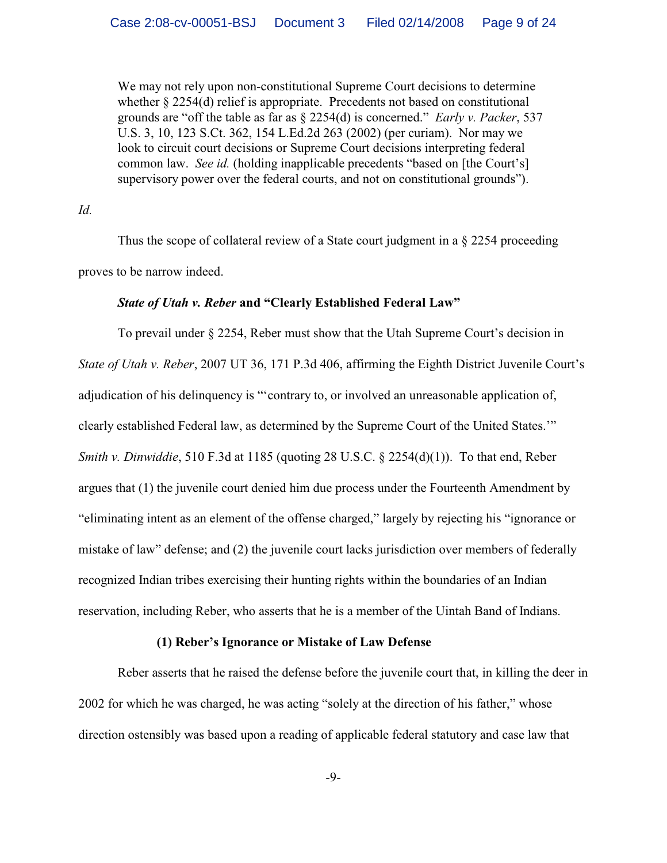We may not rely upon non-constitutional Supreme Court decisions to determine whether § 2254(d) relief is appropriate. Precedents not based on constitutional grounds are "off the table as far as § 2254(d) is concerned." *Early v. Packer*, 537 U.S. 3, 10, 123 S.Ct. 362, 154 L.Ed.2d 263 (2002) (per curiam). Nor may we look to circuit court decisions or Supreme Court decisions interpreting federal common law. *See id.* (holding inapplicable precedents "based on [the Court's] supervisory power over the federal courts, and not on constitutional grounds").

*Id.*

Thus the scope of collateral review of a State court judgment in a § 2254 proceeding proves to be narrow indeed.

### *State of Utah v. Reber* **and "Clearly Established Federal Law"**

To prevail under § 2254, Reber must show that the Utah Supreme Court's decision in *State of Utah v. Reber*, 2007 UT 36, 171 P.3d 406, affirming the Eighth District Juvenile Court's adjudication of his delinquency is "'contrary to, or involved an unreasonable application of, clearly established Federal law, as determined by the Supreme Court of the United States.'" *Smith v. Dinwiddie*, 510 F.3d at 1185 (quoting 28 U.S.C. § 2254(d)(1)). To that end, Reber argues that (1) the juvenile court denied him due process under the Fourteenth Amendment by "eliminating intent as an element of the offense charged," largely by rejecting his "ignorance or mistake of law" defense; and (2) the juvenile court lacks jurisdiction over members of federally recognized Indian tribes exercising their hunting rights within the boundaries of an Indian reservation, including Reber, who asserts that he is a member of the Uintah Band of Indians.

### **(1) Reber's Ignorance or Mistake of Law Defense**

Reber asserts that he raised the defense before the juvenile court that, in killing the deer in 2002 for which he was charged, he was acting "solely at the direction of his father," whose direction ostensibly was based upon a reading of applicable federal statutory and case law that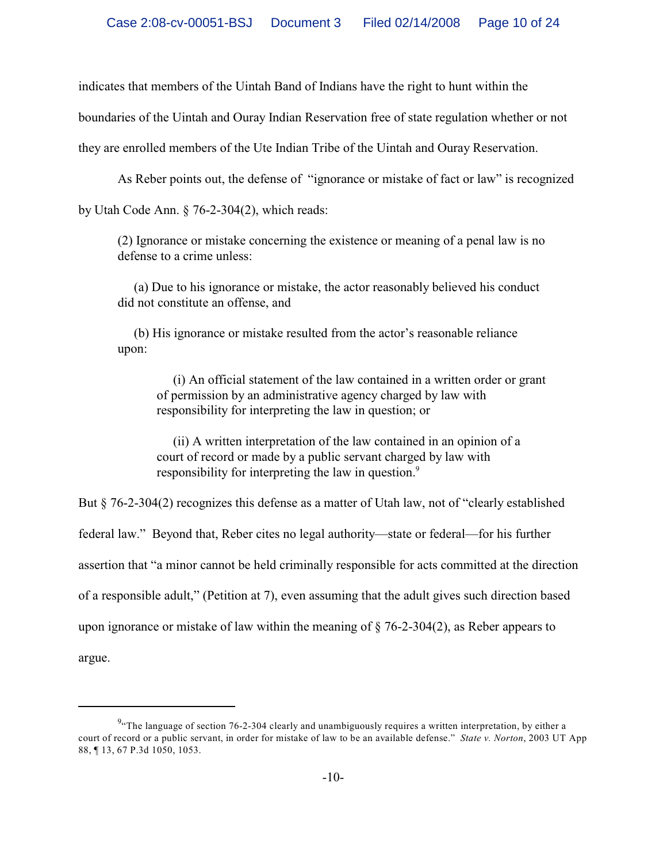indicates that members of the Uintah Band of Indians have the right to hunt within the

boundaries of the Uintah and Ouray Indian Reservation free of state regulation whether or not

they are enrolled members of the Ute Indian Tribe of the Uintah and Ouray Reservation.

As Reber points out, the defense of "ignorance or mistake of fact or law" is recognized

by Utah Code Ann. § 76-2-304(2), which reads:

(2) Ignorance or mistake concerning the existence or meaning of a penal law is no defense to a crime unless:

 (a) Due to his ignorance or mistake, the actor reasonably believed his conduct did not constitute an offense, and

 (b) His ignorance or mistake resulted from the actor's reasonable reliance upon:

 (i) An official statement of the law contained in a written order or grant of permission by an administrative agency charged by law with responsibility for interpreting the law in question; or

 (ii) A written interpretation of the law contained in an opinion of a court of record or made by a public servant charged by law with responsibility for interpreting the law in question.<sup>9</sup>

But § 76-2-304(2) recognizes this defense as a matter of Utah law, not of "clearly established federal law." Beyond that, Reber cites no legal authority—state or federal—for his further assertion that "a minor cannot be held criminally responsible for acts committed at the direction of a responsible adult," (Petition at 7), even assuming that the adult gives such direction based upon ignorance or mistake of law within the meaning of  $\S$  76-2-304(2), as Reber appears to

argue.

 $\frac{9}{3}$ . The language of section 76-2-304 clearly and unambiguously requires a written interpretation, by either a court of record or a public servant, in order for mistake of law to be an available defense." *State v. Norton*, 2003 UT App 88, ¶ 13, 67 P.3d 1050, 1053.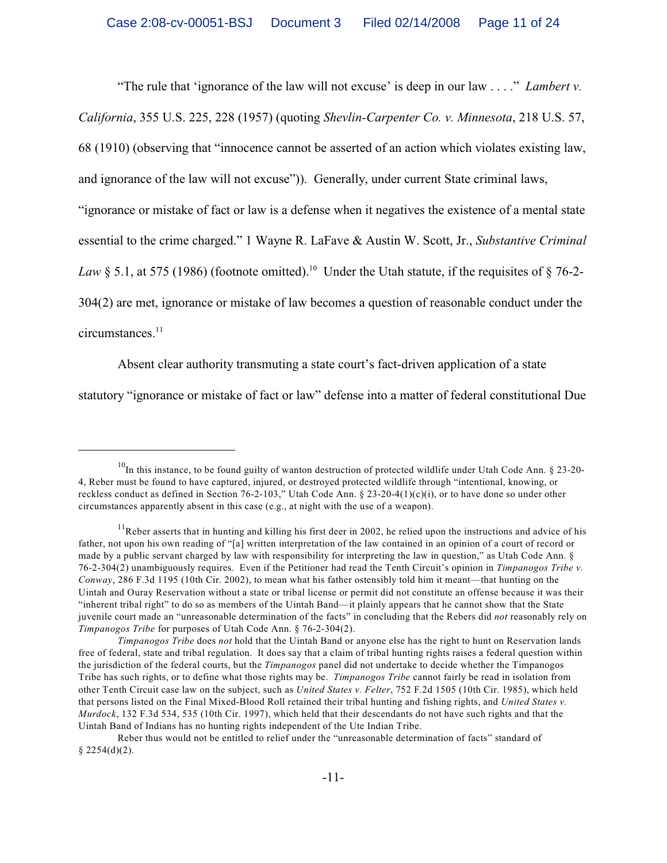"The rule that 'ignorance of the law will not excuse' is deep in our law . . . ." *Lambert v. California*, 355 U.S. 225, 228 (1957) (quoting *Shevlin-Carpenter Co. v. Minnesota*, 218 U.S. 57, 68 (1910) (observing that "innocence cannot be asserted of an action which violates existing law, and ignorance of the law will not excuse")). Generally, under current State criminal laws, "ignorance or mistake of fact or law is a defense when it negatives the existence of a mental state essential to the crime charged." 1 Wayne R. LaFave & Austin W. Scott, Jr., *Substantive Criminal Law* § 5.1, at 575 (1986) (footnote omitted).<sup>10</sup> Under the Utah statute, if the requisites of § 76-2-304(2) are met, ignorance or mistake of law becomes a question of reasonable conduct under the circumstances.<sup>11</sup>

Absent clear authority transmuting a state court's fact-driven application of a state statutory "ignorance or mistake of fact or law" defense into a matter of federal constitutional Due

 $10$ In this instance, to be found guilty of wanton destruction of protected wildlife under Utah Code Ann. § 23-20-4, Reber must be found to have captured, injured, or destroyed protected wildlife through "intentional, knowing, or reckless conduct as defined in Section 76-2-103," Utah Code Ann. § 23-20-4(1)(c)(i), or to have done so under other circumstances apparently absent in this case (e.g., at night with the use of a weapon).

 $<sup>11</sup>$ Reber asserts that in hunting and killing his first deer in 2002, he relied upon the instructions and advice of his</sup> father, not upon his own reading of "[a] written interpretation of the law contained in an opinion of a court of record or made by a public servant charged by law with responsibility for interpreting the law in question," as Utah Code Ann. § 76-2-304(2) unambiguously requires. Even if the Petitioner had read the Tenth Circuit's opinion in *Timpanogos Tribe v. Conway*, 286 F.3d 1195 (10th Cir. 2002), to mean what his father ostensibly told him it meant—that hunting on the Uintah and Ouray Reservation without a state or tribal license or permit did not constitute an offense because it was their "inherent tribal right" to do so as members of the Uintah Band—it plainly appears that he cannot show that the State juvenile court made an "unreasonable determination of the facts" in concluding that the Rebers did *not* reasonably rely on *Timpanogos Tribe* for purposes of Utah Code Ann. § 76-2-304(2).

*Timpanogos Tribe* does *not* hold that the Uintah Band or anyone else has the right to hunt on Reservation lands free of federal, state and tribal regulation. It does say that a claim of tribal hunting rights raises a federal question within the jurisdiction of the federal courts, but the *Timpanogos* panel did not undertake to decide whether the Timpanogos Tribe has such rights, or to define what those rights may be. *Timpanogos Tribe* cannot fairly be read in isolation from other Tenth Circuit case law on the subject, such as *United States v. Felter*, 752 F.2d 1505 (10th Cir. 1985), which held that persons listed on the Final Mixed-Blood Roll retained their tribal hunting and fishing rights, and *United States v. Murdock*, 132 F.3d 534, 535 (10th Cir. 1997), which held that their descendants do not have such rights and that the Uintah Band of Indians has no hunting rights independent of the Ute Indian Tribe.

Reber thus would not be entitled to relief under the "unreasonable determination of facts" standard of  $§$  2254(d)(2).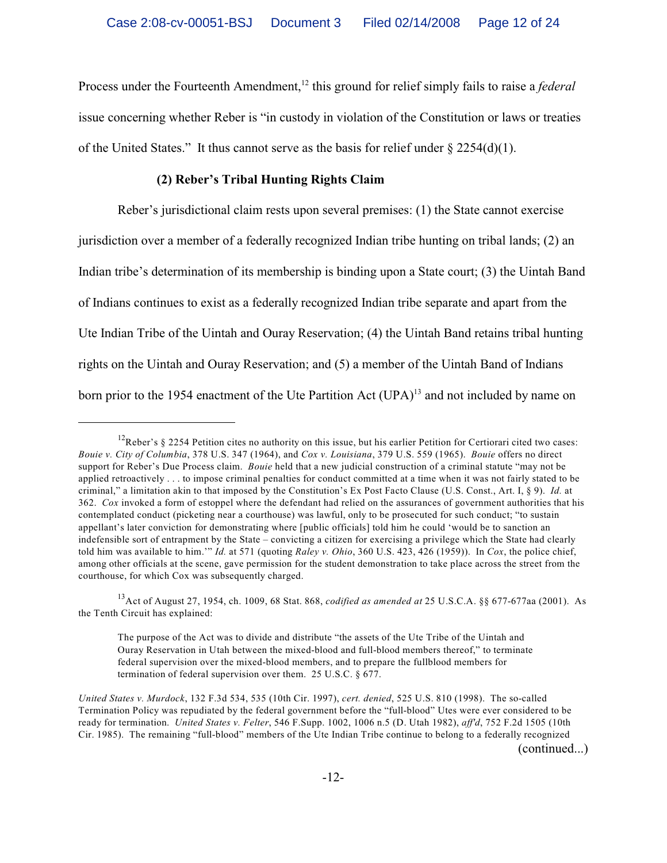Process under the Fourteenth Amendment,<sup>12</sup> this ground for relief simply fails to raise a *federal* issue concerning whether Reber is "in custody in violation of the Constitution or laws or treaties of the United States." It thus cannot serve as the basis for relief under  $\S 2254(d)(1)$ .

# **(2) Reber's Tribal Hunting Rights Claim**

Reber's jurisdictional claim rests upon several premises: (1) the State cannot exercise jurisdiction over a member of a federally recognized Indian tribe hunting on tribal lands; (2) an Indian tribe's determination of its membership is binding upon a State court; (3) the Uintah Band of Indians continues to exist as a federally recognized Indian tribe separate and apart from the Ute Indian Tribe of the Uintah and Ouray Reservation; (4) the Uintah Band retains tribal hunting rights on the Uintah and Ouray Reservation; and (5) a member of the Uintah Band of Indians born prior to the 1954 enactment of the Ute Partition Act  $(UPA)^{13}$  and not included by name on

<sup>&</sup>lt;sup>12</sup>Reber's § 2254 Petition cites no authority on this issue, but his earlier Petition for Certiorari cited two cases: *Bouie v. City of Columbia*, 378 U.S. 347 (1964), and *Cox v. Louisiana*, 379 U.S. 559 (1965). *Bouie* offers no direct support for Reber's Due Process claim. *Bouie* held that a new judicial construction of a criminal statute "may not be applied retroactively . . . to impose criminal penalties for conduct committed at a time when it was not fairly stated to be criminal," a limitation akin to that imposed by the Constitution's Ex Post Facto Clause (U.S. Const., Art. I, § 9). *Id.* at 362. *Cox* invoked a form of estoppel where the defendant had relied on the assurances of government authorities that his contemplated conduct (picketing near a courthouse) was lawful, only to be prosecuted for such conduct; "to sustain appellant's later conviction for demonstrating where [public officials] told him he could 'would be to sanction an indefensible sort of entrapment by the State – convicting a citizen for exercising a privilege which the State had clearly told him was available to him.'" *Id.* at 571 (quoting *Raley v. Ohio*, 360 U.S. 423, 426 (1959)). In *Cox*, the police chief, among other officials at the scene, gave permission for the student demonstration to take place across the street from the courthouse, for which Cox was subsequently charged.

<sup>&</sup>lt;sup>13</sup> Act of August 27, 1954, ch. 1009, 68 Stat. 868, *codified as amended at* 25 U.S.C.A. §§ 677-677aa (2001). As the Tenth Circuit has explained:

The purpose of the Act was to divide and distribute "the assets of the Ute Tribe of the Uintah and Ouray Reservation in Utah between the mixed-blood and full-blood members thereof," to terminate federal supervision over the mixed-blood members, and to prepare the fullblood members for termination of federal supervision over them. 25 U.S.C. § 677.

*United States v. Murdock*, 132 F.3d 534, 535 (10th Cir. 1997), *cert. denied*, 525 U.S. 810 (1998). The so-called Termination Policy was repudiated by the federal government before the "full-blood" Utes were ever considered to be ready for termination. *United States v. Felter*, 546 F.Supp. 1002, 1006 n.5 (D. Utah 1982), *aff'd*, 752 F.2d 1505 (10th Cir. 1985). The remaining "full-blood" members of the Ute Indian Tribe continue to belong to a federally recognized (continued...)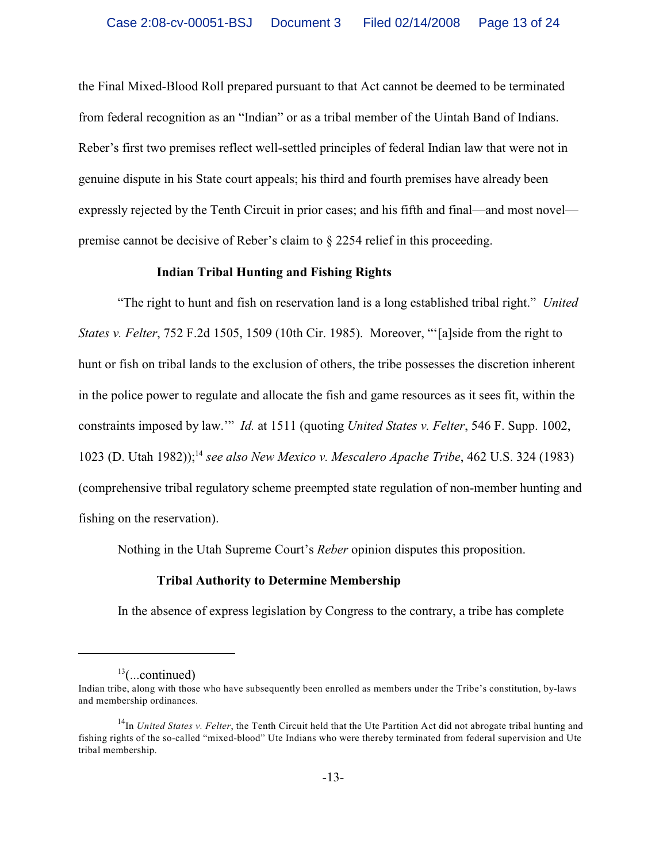the Final Mixed-Blood Roll prepared pursuant to that Act cannot be deemed to be terminated from federal recognition as an "Indian" or as a tribal member of the Uintah Band of Indians. Reber's first two premises reflect well-settled principles of federal Indian law that were not in genuine dispute in his State court appeals; his third and fourth premises have already been expressly rejected by the Tenth Circuit in prior cases; and his fifth and final—and most novel premise cannot be decisive of Reber's claim to § 2254 relief in this proceeding.

## **Indian Tribal Hunting and Fishing Rights**

"The right to hunt and fish on reservation land is a long established tribal right." *United States v. Felter*, 752 F.2d 1505, 1509 (10th Cir. 1985). Moreover, "'[a]side from the right to hunt or fish on tribal lands to the exclusion of others, the tribe possesses the discretion inherent in the police power to regulate and allocate the fish and game resources as it sees fit, within the constraints imposed by law.'" *Id.* at 1511 (quoting *United States v. Felter*, 546 F. Supp. 1002, 1023 (D. Utah 1982)); *see also New Mexico v. Mescalero Apache Tribe*, 462 U.S. 324 (1983) <sup>14</sup> (comprehensive tribal regulatory scheme preempted state regulation of non-member hunting and fishing on the reservation).

Nothing in the Utah Supreme Court's *Reber* opinion disputes this proposition.

## **Tribal Authority to Determine Membership**

In the absence of express legislation by Congress to the contrary, a tribe has complete

 $13$ (...continued)

Indian tribe, along with those who have subsequently been enrolled as members under the Tribe's constitution, by-laws and membership ordinances.

<sup>&</sup>lt;sup>14</sup>In *United States v. Felter*, the Tenth Circuit held that the Ute Partition Act did not abrogate tribal hunting and fishing rights of the so-called "mixed-blood" Ute Indians who were thereby terminated from federal supervision and Ute tribal membership.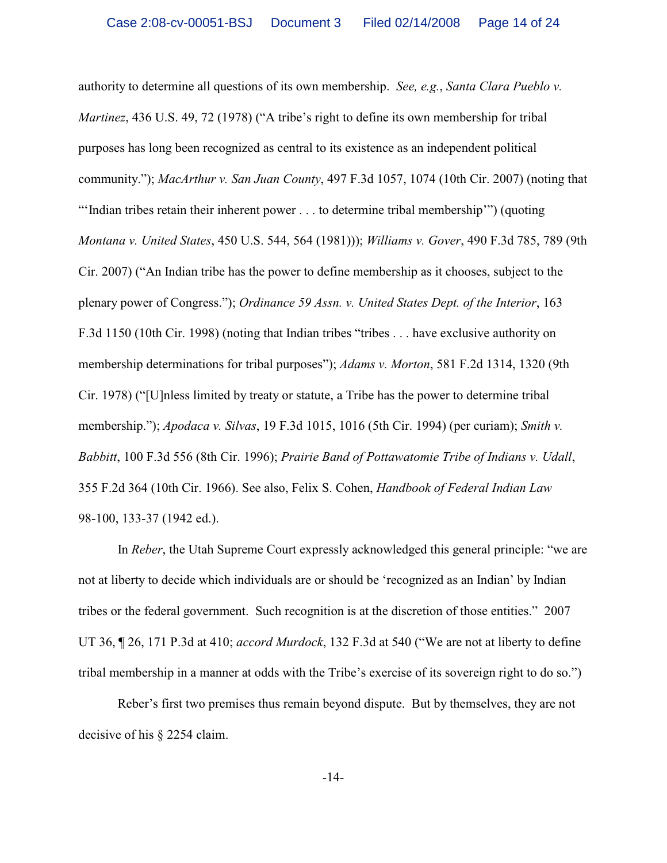authority to determine all questions of its own membership. *See, e.g.*, *Santa Clara Pueblo v. Martinez*, 436 U.S. 49, 72 (1978) ("A tribe's right to define its own membership for tribal purposes has long been recognized as central to its existence as an independent political community."); *MacArthur v. San Juan County*, 497 F.3d 1057, 1074 (10th Cir. 2007) (noting that "'Indian tribes retain their inherent power . . . to determine tribal membership'") (quoting *Montana v. United States*, 450 U.S. 544, 564 (1981))); *Williams v. Gover*, 490 F.3d 785, 789 (9th Cir. 2007) ("An Indian tribe has the power to define membership as it chooses, subject to the plenary power of Congress."); *Ordinance 59 Assn. v. United States Dept. of the Interior*, 163 F.3d 1150 (10th Cir. 1998) (noting that Indian tribes "tribes . . . have exclusive authority on membership determinations for tribal purposes"); *Adams v. Morton*, 581 F.2d 1314, 1320 (9th Cir. 1978) ("[U]nless limited by treaty or statute, a Tribe has the power to determine tribal membership."); *Apodaca v. Silvas*, 19 F.3d 1015, 1016 (5th Cir. 1994) (per curiam); *Smith v. Babbitt*, 100 F.3d 556 (8th Cir. 1996); *Prairie Band of Pottawatomie Tribe of Indians v. Udall*, 355 F.2d 364 (10th Cir. 1966). See also, Felix S. Cohen, *Handbook of Federal Indian Law* 98-100, 133-37 (1942 ed.).

In *Reber*, the Utah Supreme Court expressly acknowledged this general principle: "we are not at liberty to decide which individuals are or should be 'recognized as an Indian' by Indian tribes or the federal government. Such recognition is at the discretion of those entities." 2007 UT 36, ¶ 26, 171 P.3d at 410; *accord Murdock*, 132 F.3d at 540 ("We are not at liberty to define tribal membership in a manner at odds with the Tribe's exercise of its sovereign right to do so.")

Reber's first two premises thus remain beyond dispute. But by themselves, they are not decisive of his § 2254 claim.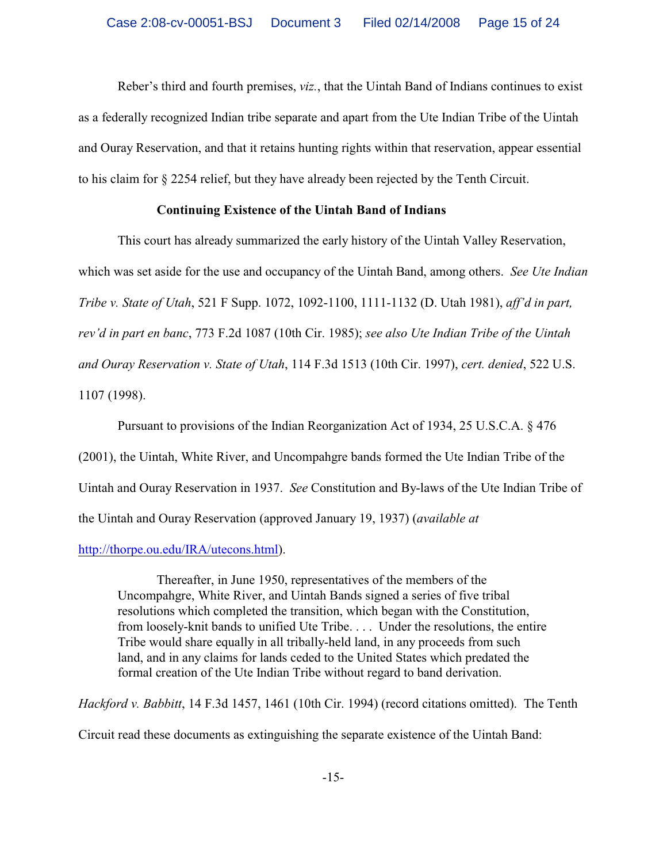Reber's third and fourth premises, *viz.*, that the Uintah Band of Indians continues to exist as a federally recognized Indian tribe separate and apart from the Ute Indian Tribe of the Uintah and Ouray Reservation, and that it retains hunting rights within that reservation, appear essential to his claim for § 2254 relief, but they have already been rejected by the Tenth Circuit.

# **Continuing Existence of the Uintah Band of Indians**

This court has already summarized the early history of the Uintah Valley Reservation, which was set aside for the use and occupancy of the Uintah Band, among others. *See Ute Indian Tribe v. State of Utah*, 521 F Supp. 1072, 1092-1100, 1111-1132 (D. Utah 1981), *aff'd in part, rev'd in part en banc*, 773 F.2d 1087 (10th Cir. 1985); *see also Ute Indian Tribe of the Uintah and Ouray Reservation v. State of Utah*, 114 F.3d 1513 (10th Cir. 1997), *cert. denied*, 522 U.S. 1107 (1998).

Pursuant to provisions of the Indian Reorganization Act of 1934, 25 U.S.C.A. § 476 (2001), the Uintah, White River, and Uncompahgre bands formed the Ute Indian Tribe of the Uintah and Ouray Reservation in 1937. *See* Constitution and By-laws of the Ute Indian Tribe of the Uintah and Ouray Reservation (approved January 19, 1937) (*available at*

## <http://thorpe.ou.edu/IRA/utecons.html>).

Thereafter, in June 1950, representatives of the members of the Uncompahgre, White River, and Uintah Bands signed a series of five tribal resolutions which completed the transition, which began with the Constitution, from loosely-knit bands to unified Ute Tribe. . . . Under the resolutions, the entire Tribe would share equally in all tribally-held land, in any proceeds from such land, and in any claims for lands ceded to the United States which predated the formal creation of the Ute Indian Tribe without regard to band derivation.

*Hackford v. Babbitt*, 14 F.3d 1457, 1461 (10th Cir. 1994) (record citations omitted). The Tenth Circuit read these documents as extinguishing the separate existence of the Uintah Band: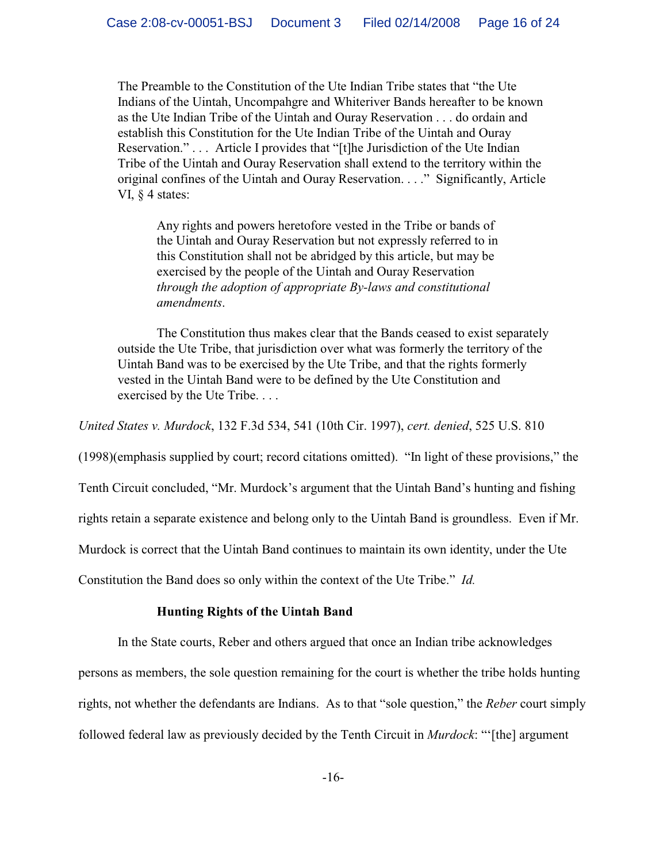The Preamble to the Constitution of the Ute Indian Tribe states that "the Ute Indians of the Uintah, Uncompahgre and Whiteriver Bands hereafter to be known as the Ute Indian Tribe of the Uintah and Ouray Reservation . . . do ordain and establish this Constitution for the Ute Indian Tribe of the Uintah and Ouray Reservation." . . . Article I provides that "[t]he Jurisdiction of the Ute Indian Tribe of the Uintah and Ouray Reservation shall extend to the territory within the original confines of the Uintah and Ouray Reservation. . . ." Significantly, Article VI, § 4 states:

Any rights and powers heretofore vested in the Tribe or bands of the Uintah and Ouray Reservation but not expressly referred to in this Constitution shall not be abridged by this article, but may be exercised by the people of the Uintah and Ouray Reservation *through the adoption of appropriate By-laws and constitutional amendments*.

The Constitution thus makes clear that the Bands ceased to exist separately outside the Ute Tribe, that jurisdiction over what was formerly the territory of the Uintah Band was to be exercised by the Ute Tribe, and that the rights formerly vested in the Uintah Band were to be defined by the Ute Constitution and exercised by the Ute Tribe. . . .

*United States v. Murdock*, 132 F.3d 534, 541 (10th Cir. 1997), *cert. denied*, 525 U.S. 810

(1998)(emphasis supplied by court; record citations omitted). "In light of these provisions," the

Tenth Circuit concluded, "Mr. Murdock's argument that the Uintah Band's hunting and fishing

rights retain a separate existence and belong only to the Uintah Band is groundless. Even if Mr.

Murdock is correct that the Uintah Band continues to maintain its own identity, under the Ute

Constitution the Band does so only within the context of the Ute Tribe." *Id.*

## **Hunting Rights of the Uintah Band**

In the State courts, Reber and others argued that once an Indian tribe acknowledges

persons as members, the sole question remaining for the court is whether the tribe holds hunting rights, not whether the defendants are Indians. As to that "sole question," the *Reber* court simply

followed federal law as previously decided by the Tenth Circuit in *Murdock*: "'[the] argument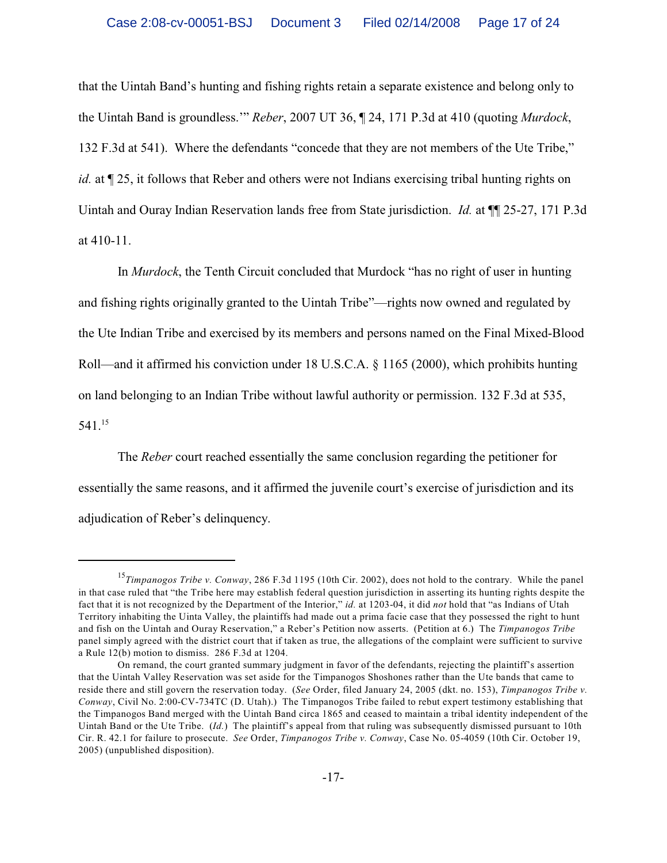that the Uintah Band's hunting and fishing rights retain a separate existence and belong only to the Uintah Band is groundless.'" *Reber*, 2007 UT 36, ¶ 24, 171 P.3d at 410 (quoting *Murdock*, 132 F.3d at 541). Where the defendants "concede that they are not members of the Ute Tribe," *id.* at  $\P$  25, it follows that Reber and others were not Indians exercising tribal hunting rights on Uintah and Ouray Indian Reservation lands free from State jurisdiction. *Id.* at ¶¶ 25-27, 171 P.3d at 410-11.

In *Murdock*, the Tenth Circuit concluded that Murdock "has no right of user in hunting and fishing rights originally granted to the Uintah Tribe"—rights now owned and regulated by the Ute Indian Tribe and exercised by its members and persons named on the Final Mixed-Blood Roll—and it affirmed his conviction under 18 U.S.C.A. § 1165 (2000), which prohibits hunting on land belonging to an Indian Tribe without lawful authority or permission. 132 F.3d at 535, 541.<sup>15</sup>

The *Reber* court reached essentially the same conclusion regarding the petitioner for essentially the same reasons, and it affirmed the juvenile court's exercise of jurisdiction and its adjudication of Reber's delinquency.

<sup>&</sup>lt;sup>15</sup>Timpanogos Tribe v. Conway, 286 F.3d 1195 (10th Cir. 2002), does not hold to the contrary. While the panel in that case ruled that "the Tribe here may establish federal question jurisdiction in asserting its hunting rights despite the fact that it is not recognized by the Department of the Interior," *id.* at 1203-04, it did *not* hold that "as Indians of Utah Territory inhabiting the Uinta Valley, the plaintiffs had made out a prima facie case that they possessed the right to hunt and fish on the Uintah and Ouray Reservation," a Reber's Petition now asserts. (Petition at 6.) The *Timpanogos Tribe* panel simply agreed with the district court that if taken as true, the allegations of the complaint were sufficient to survive a Rule 12(b) motion to dismiss. 286 F.3d at 1204.

On remand, the court granted summary judgment in favor of the defendants, rejecting the plaintiff's assertion that the Uintah Valley Reservation was set aside for the Timpanogos Shoshones rather than the Ute bands that came to reside there and still govern the reservation today. (*See* Order, filed January 24, 2005 (dkt. no. 153), *Timpanogos Tribe v. Conway*, Civil No. 2:00-CV-734TC (D. Utah).) The Timpanogos Tribe failed to rebut expert testimony establishing that the Timpanogos Band merged with the Uintah Band circa 1865 and ceased to maintain a tribal identity independent of the Uintah Band or the Ute Tribe. (*Id.*) The plaintiff's appeal from that ruling was subsequently dismissed pursuant to 10th Cir. R. 42.1 for failure to prosecute. *See* Order, *Timpanogos Tribe v. Conway*, Case No. 05-4059 (10th Cir. October 19, 2005) (unpublished disposition).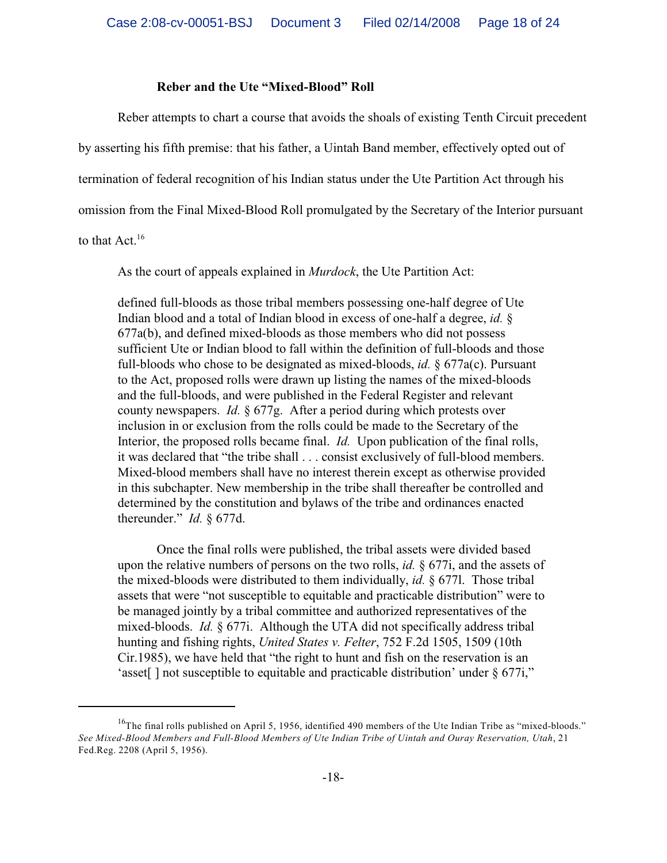## **Reber and the Ute "Mixed-Blood" Roll**

Reber attempts to chart a course that avoids the shoals of existing Tenth Circuit precedent by asserting his fifth premise: that his father, a Uintah Band member, effectively opted out of termination of federal recognition of his Indian status under the Ute Partition Act through his omission from the Final Mixed-Blood Roll promulgated by the Secretary of the Interior pursuant

to that  $Act.^{16}$ 

As the court of appeals explained in *Murdock*, the Ute Partition Act:

defined full-bloods as those tribal members possessing one-half degree of Ute Indian blood and a total of Indian blood in excess of one-half a degree, *id.* § 677a(b), and defined mixed-bloods as those members who did not possess sufficient Ute or Indian blood to fall within the definition of full-bloods and those full-bloods who chose to be designated as mixed-bloods, *id.* § 677a(c). Pursuant to the Act, proposed rolls were drawn up listing the names of the mixed-bloods and the full-bloods, and were published in the Federal Register and relevant county newspapers. *Id.* § 677g. After a period during which protests over inclusion in or exclusion from the rolls could be made to the Secretary of the Interior, the proposed rolls became final. *Id.* Upon publication of the final rolls, it was declared that "the tribe shall . . . consist exclusively of full-blood members. Mixed-blood members shall have no interest therein except as otherwise provided in this subchapter. New membership in the tribe shall thereafter be controlled and determined by the constitution and bylaws of the tribe and ordinances enacted thereunder." *Id.* § 677d.

Once the final rolls were published, the tribal assets were divided based upon the relative numbers of persons on the two rolls, *id.* § 677i, and the assets of the mixed-bloods were distributed to them individually, *id.* § 677l. Those tribal assets that were "not susceptible to equitable and practicable distribution" were to be managed jointly by a tribal committee and authorized representatives of the mixed-bloods. *Id.* § 677i. Although the UTA did not specifically address tribal hunting and fishing rights, *United States v. Felter*, 752 F.2d 1505, 1509 (10th Cir.1985), we have held that "the right to hunt and fish on the reservation is an 'asset[] not susceptible to equitable and practicable distribution' under § 677i,"

<sup>&</sup>lt;sup>16</sup>The final rolls published on April 5, 1956, identified 490 members of the Ute Indian Tribe as "mixed-bloods." *See Mixed-Blood Members and Full-Blood Members of Ute Indian Tribe of Uintah and Ouray Reservation, Utah*, 21 Fed.Reg. 2208 (April 5, 1956).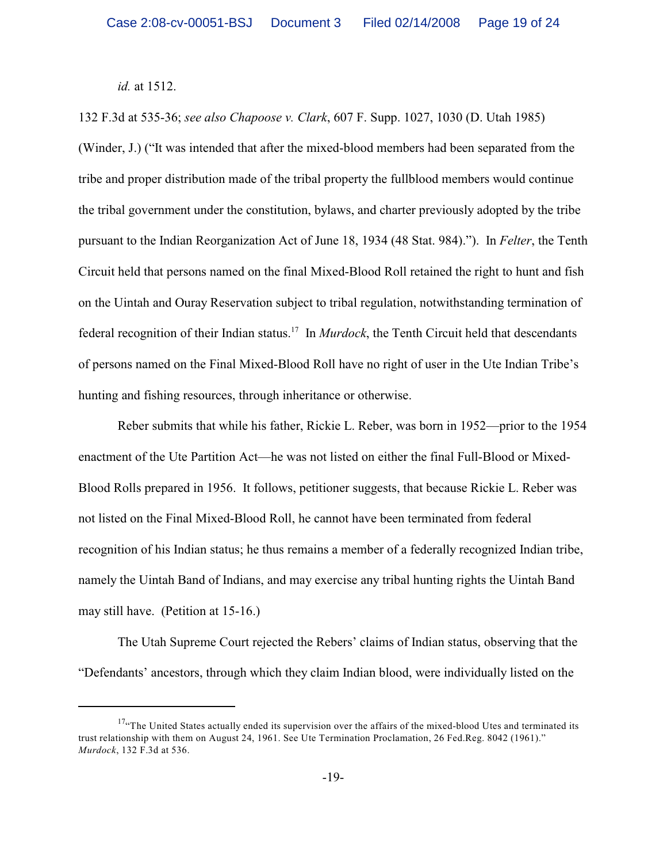*id.* at 1512.

132 F.3d at 535-36; *see also Chapoose v. Clark*, 607 F. Supp. 1027, 1030 (D. Utah 1985) (Winder, J.) ("It was intended that after the mixed-blood members had been separated from the tribe and proper distribution made of the tribal property the fullblood members would continue the tribal government under the constitution, bylaws, and charter previously adopted by the tribe pursuant to the Indian Reorganization Act of June 18, 1934 (48 Stat. 984)."). In *Felter*, the Tenth Circuit held that persons named on the final Mixed-Blood Roll retained the right to hunt and fish on the Uintah and Ouray Reservation subject to tribal regulation, notwithstanding termination of federal recognition of their Indian status.<sup>17</sup> In *Murdock*, the Tenth Circuit held that descendants of persons named on the Final Mixed-Blood Roll have no right of user in the Ute Indian Tribe's hunting and fishing resources, through inheritance or otherwise.

Reber submits that while his father, Rickie L. Reber, was born in 1952—prior to the 1954 enactment of the Ute Partition Act—he was not listed on either the final Full-Blood or Mixed-Blood Rolls prepared in 1956. It follows, petitioner suggests, that because Rickie L. Reber was not listed on the Final Mixed-Blood Roll, he cannot have been terminated from federal recognition of his Indian status; he thus remains a member of a federally recognized Indian tribe, namely the Uintah Band of Indians, and may exercise any tribal hunting rights the Uintah Band may still have. (Petition at 15-16.)

The Utah Supreme Court rejected the Rebers' claims of Indian status, observing that the "Defendants' ancestors, through which they claim Indian blood, were individually listed on the

<sup>&</sup>lt;sup>17</sup>"The United States actually ended its supervision over the affairs of the mixed-blood Utes and terminated its trust relationship with them on August 24, 1961. See Ute Termination Proclamation, 26 Fed.Reg. 8042 (1961)." *Murdock*, 132 F.3d at 536.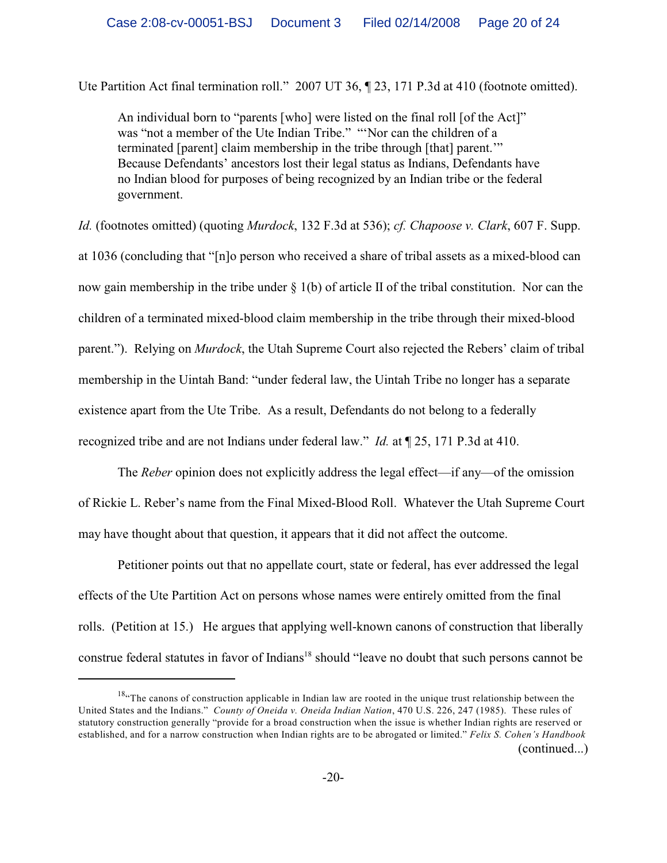Ute Partition Act final termination roll." 2007 UT 36,  $\parallel$  23, 171 P.3d at 410 (footnote omitted).

An individual born to "parents [who] were listed on the final roll [of the Act]" was "not a member of the Ute Indian Tribe." "'Nor can the children of a terminated [parent] claim membership in the tribe through [that] parent.'" Because Defendants' ancestors lost their legal status as Indians, Defendants have no Indian blood for purposes of being recognized by an Indian tribe or the federal government.

*Id.* (footnotes omitted) (quoting *Murdock*, 132 F.3d at 536); *cf. Chapoose v. Clark*, 607 F. Supp.

at 1036 (concluding that "[n]o person who received a share of tribal assets as a mixed-blood can now gain membership in the tribe under § 1(b) of article II of the tribal constitution. Nor can the children of a terminated mixed-blood claim membership in the tribe through their mixed-blood parent."). Relying on *Murdock*, the Utah Supreme Court also rejected the Rebers' claim of tribal membership in the Uintah Band: "under federal law, the Uintah Tribe no longer has a separate existence apart from the Ute Tribe. As a result, Defendants do not belong to a federally recognized tribe and are not Indians under federal law." *Id.* at ¶ 25, 171 P.3d at 410.

The *Reber* opinion does not explicitly address the legal effect—if any—of the omission of Rickie L. Reber's name from the Final Mixed-Blood Roll. Whatever the Utah Supreme Court may have thought about that question, it appears that it did not affect the outcome.

Petitioner points out that no appellate court, state or federal, has ever addressed the legal effects of the Ute Partition Act on persons whose names were entirely omitted from the final rolls. (Petition at 15.) He argues that applying well-known canons of construction that liberally construe federal statutes in favor of Indians<sup>18</sup> should "leave no doubt that such persons cannot be

 $18$ <sup>48</sup> The canons of construction applicable in Indian law are rooted in the unique trust relationship between the United States and the Indians." *County of Oneida v. Oneida Indian Nation*, 470 U.S. 226, 247 (1985). These rules of statutory construction generally "provide for a broad construction when the issue is whether Indian rights are reserved or established, and for a narrow construction when Indian rights are to be abrogated or limited." *Felix S. Cohen's Handbook* (continued...)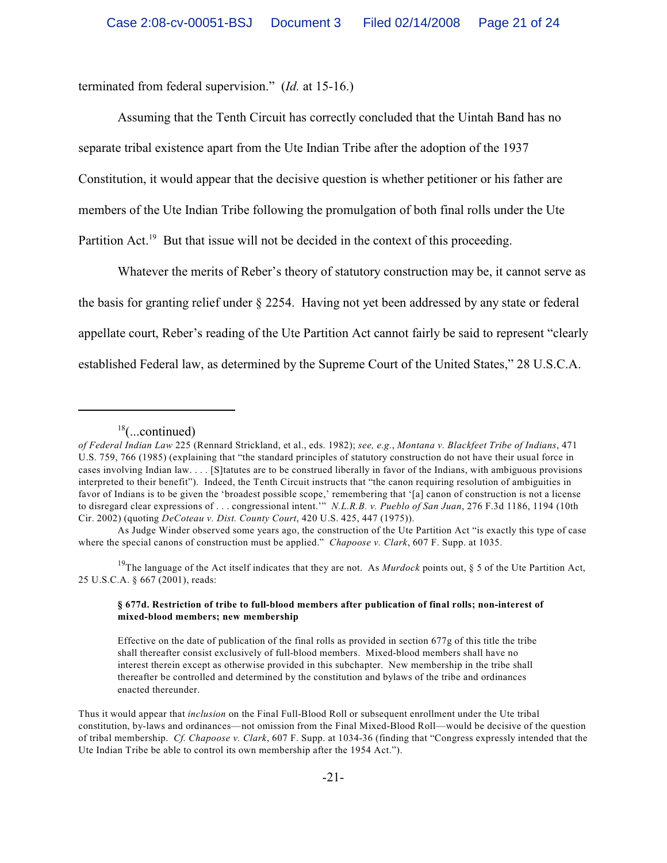terminated from federal supervision." (*Id.* at 15-16.)

Assuming that the Tenth Circuit has correctly concluded that the Uintah Band has no separate tribal existence apart from the Ute Indian Tribe after the adoption of the 1937 Constitution, it would appear that the decisive question is whether petitioner or his father are members of the Ute Indian Tribe following the promulgation of both final rolls under the Ute Partition Act.<sup>19</sup> But that issue will not be decided in the context of this proceeding.

Whatever the merits of Reber's theory of statutory construction may be, it cannot serve as the basis for granting relief under § 2254. Having not yet been addressed by any state or federal appellate court, Reber's reading of the Ute Partition Act cannot fairly be said to represent "clearly established Federal law, as determined by the Supreme Court of the United States," 28 U.S.C.A.

As Judge Winder observed some years ago, the construction of the Ute Partition Act "is exactly this type of case where the special canons of construction must be applied." *Chapoose v. Clark*, 607 F. Supp. at 1035.

<sup>19</sup>The language of the Act itself indicates that they are not. As *Murdock* points out, § 5 of the Ute Partition Act, 25 U.S.C.A. § 667 (2001), reads:

#### **§ 677d. Restriction of tribe to full-blood members after publication of final rolls; non-interest of mixed-blood members; new membership**

Effective on the date of publication of the final rolls as provided in section 677g of this title the tribe shall thereafter consist exclusively of full-blood members. Mixed-blood members shall have no interest therein except as otherwise provided in this subchapter. New membership in the tribe shall thereafter be controlled and determined by the constitution and bylaws of the tribe and ordinances enacted thereunder.

Thus it would appear that *inclusion* on the Final Full-Blood Roll or subsequent enrollment under the Ute tribal constitution, by-laws and ordinances—not omission from the Final Mixed-Blood Roll—would be decisive of the question of tribal membership. *Cf. Chapoose v. Clark*, 607 F. Supp. at 1034-36 (finding that "Congress expressly intended that the Ute Indian Tribe be able to control its own membership after the 1954 Act.").

 $18$ (...continued)

*of Federal Indian Law* 225 (Rennard Strickland, et al., eds. 1982); *see, e.g.*, *Montana v. Blackfeet Tribe of Indians*, 471 U.S. 759, 766 (1985) (explaining that "the standard principles of statutory construction do not have their usual force in cases involving Indian law. . . . [S]tatutes are to be construed liberally in favor of the Indians, with ambiguous provisions interpreted to their benefit"). Indeed, the Tenth Circuit instructs that "the canon requiring resolution of ambiguities in favor of Indians is to be given the 'broadest possible scope,' remembering that '[a] canon of construction is not a license to disregard clear expressions of . . . congressional intent.'" *N.L.R.B. v. Pueblo of San Juan*, 276 F.3d 1186, 1194 (10th Cir. 2002) (quoting *DeCoteau v. Dist. County Court*, 420 U.S. 425, 447 (1975)).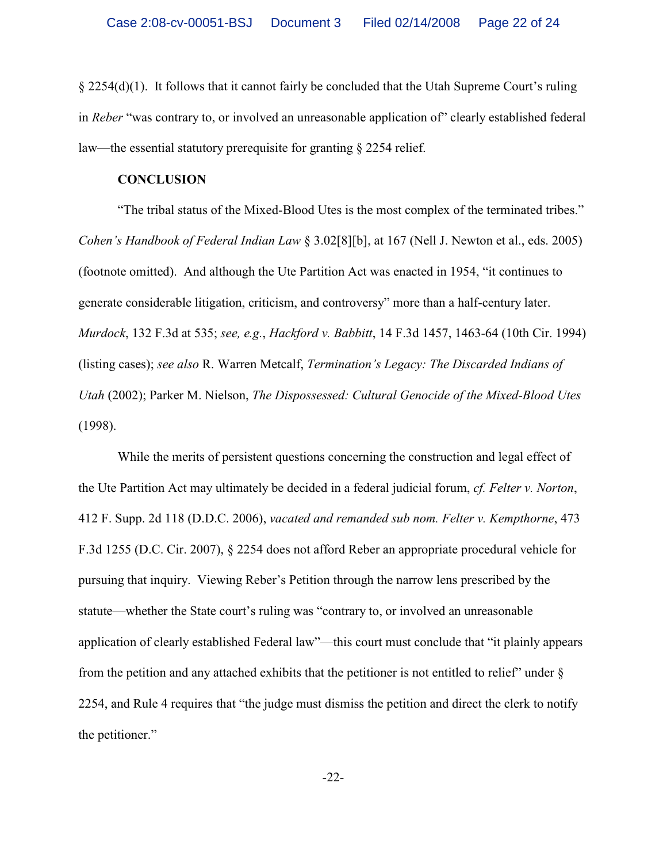§ 2254(d)(1). It follows that it cannot fairly be concluded that the Utah Supreme Court's ruling in *Reber* "was contrary to, or involved an unreasonable application of" clearly established federal law—the essential statutory prerequisite for granting § 2254 relief.

## **CONCLUSION**

"The tribal status of the Mixed-Blood Utes is the most complex of the terminated tribes." *Cohen's Handbook of Federal Indian Law* § 3.02[8][b], at 167 (Nell J. Newton et al., eds. 2005) (footnote omitted). And although the Ute Partition Act was enacted in 1954, "it continues to generate considerable litigation, criticism, and controversy" more than a half-century later. *Murdock*, 132 F.3d at 535; *see, e.g.*, *Hackford v. Babbitt*, 14 F.3d 1457, 1463-64 (10th Cir. 1994) (listing cases); *see also* R. Warren Metcalf, *Termination's Legacy: The Discarded Indians of Utah* (2002); Parker M. Nielson, *The Dispossessed: Cultural Genocide of the Mixed-Blood Utes* (1998).

While the merits of persistent questions concerning the construction and legal effect of the Ute Partition Act may ultimately be decided in a federal judicial forum, *cf. Felter v. Norton*, 412 F. Supp. 2d 118 (D.D.C. 2006), *vacated and remanded sub nom. Felter v. Kempthorne*, 473 F.3d 1255 (D.C. Cir. 2007), § 2254 does not afford Reber an appropriate procedural vehicle for pursuing that inquiry. Viewing Reber's Petition through the narrow lens prescribed by the statute—whether the State court's ruling was "contrary to, or involved an unreasonable application of clearly established Federal law"—this court must conclude that "it plainly appears from the petition and any attached exhibits that the petitioner is not entitled to relief" under § 2254, and Rule 4 requires that "the judge must dismiss the petition and direct the clerk to notify the petitioner."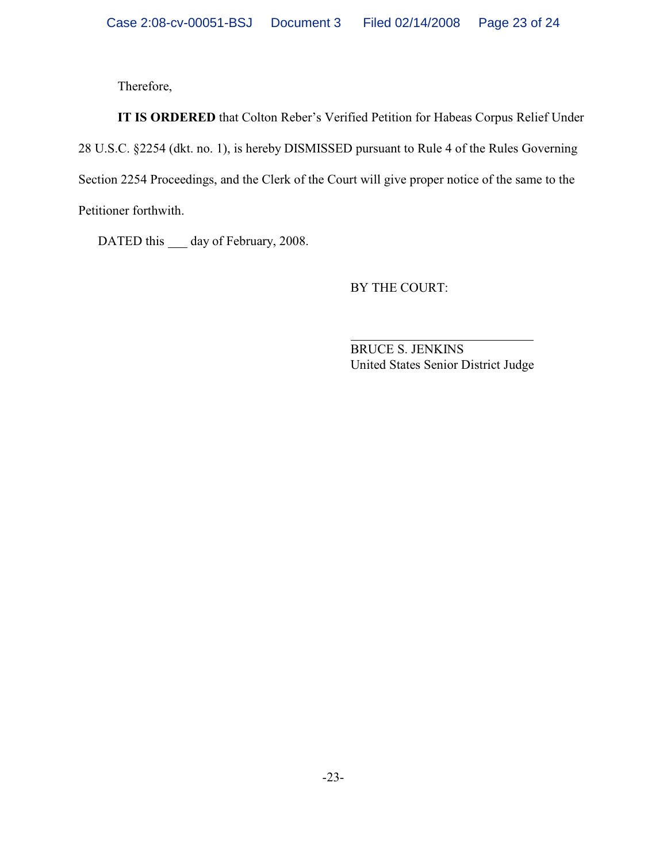Therefore,

**IT IS ORDERED** that Colton Reber's Verified Petition for Habeas Corpus Relief Under 28 U.S.C. §2254 (dkt. no. 1), is hereby DISMISSED pursuant to Rule 4 of the Rules Governing Section 2254 Proceedings, and the Clerk of the Court will give proper notice of the same to the Petitioner forthwith.

DATED this \_\_\_ day of February, 2008.

BY THE COURT:

 $\overline{a}$ BRUCE S. JENKINS United States Senior District Judge